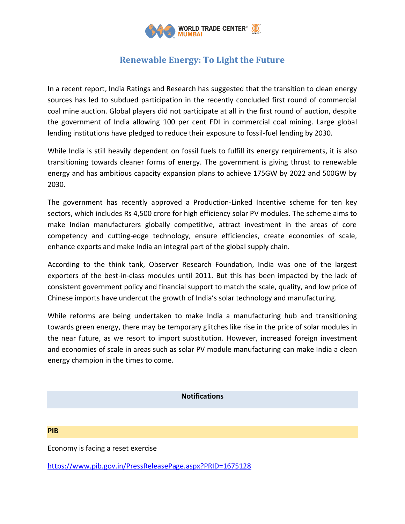

## **Renewable Energy: To Light the Future**

In a recent report, India Ratings and Research has suggested that the transition to clean energy sources has led to subdued participation in the recently concluded first round of commercial coal mine auction. Global players did not participate at all in the first round of auction, despite the government of India allowing 100 per cent FDI in commercial coal mining. Large global lending institutions have pledged to reduce their exposure to fossil-fuel lending by 2030.

While India is still heavily dependent on fossil fuels to fulfill its energy requirements, it is also transitioning towards cleaner forms of energy. The government is giving thrust to renewable energy and has ambitious capacity expansion plans to achieve 175GW by 2022 and 500GW by 2030.

The government has recently approved a Production-Linked Incentive scheme for ten key sectors, which includes Rs 4,500 crore for high efficiency solar PV modules. The scheme aims to make Indian manufacturers globally competitive, attract investment in the areas of core competency and cutting-edge technology, ensure efficiencies, create economies of scale, enhance exports and make India an integral part of the global supply chain.

According to the think tank, Observer Research Foundation, India was one of the largest exporters of the best-in-class modules until 2011. But this has been impacted by the lack of consistent government policy and financial support to match the scale, quality, and low price of Chinese imports have undercut the growth of India's solar technology and manufacturing.

While reforms are being undertaken to make India a manufacturing hub and transitioning towards green energy, there may be temporary glitches like rise in the price of solar modules in the near future, as we resort to import substitution. However, increased foreign investment and economies of scale in areas such as solar PV module manufacturing can make India a clean energy champion in the times to come.

## **Notifications**

**PIB**

Economy is facing a reset exercise

<https://www.pib.gov.in/PressReleasePage.aspx?PRID=1675128>